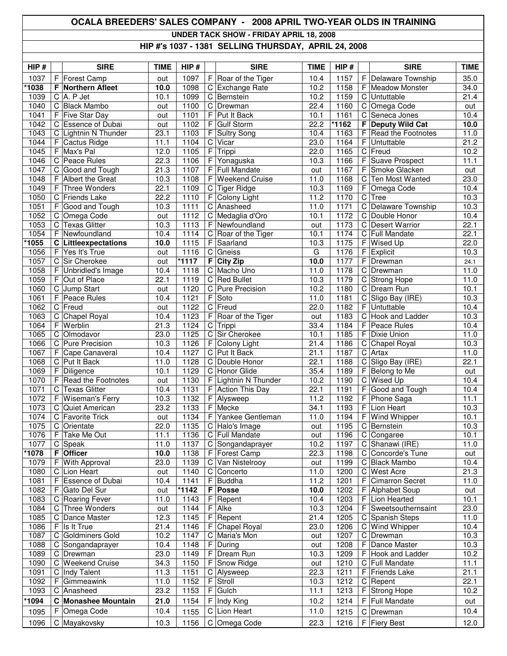## **OCALA BREEDERS' SALES COMPANY - 2008 APRIL TWO-YEAR OLDS IN TRAINING**

**UNDER TACK SHOW - FRIDAY APRIL 18, 2008**

## **HIP #'s 1037 - 1381 SELLING THURSDAY, APRIL 24, 2008**

| HIP#         |        | <b>SIRE</b>                          | <b>TIME</b>       | HIP#         |             | <b>SIRE</b>              | <b>TIME</b>  | HIP#         |             | <b>SIRE</b>               | <b>TIME</b>  |
|--------------|--------|--------------------------------------|-------------------|--------------|-------------|--------------------------|--------------|--------------|-------------|---------------------------|--------------|
| 1037         |        | F Forest Camp                        | out               | 1097         | F           | Roar of the Tiger        | 10.4         | 1157         | F           | Delaware Township         | 35.0         |
| 1038         |        | <b>F</b> Northern Afleet             | 10.0              | 1098         | C           | Exchange Rate            | 10.2         | 1158         | F           | <b>Meadow Monster</b>     | 34.0         |
| 1039         |        | $C$ A. P Jet                         | 10.1              | 1099         |             | C Bernstein              | 10.2         | 1159         | C           | Untuttable                | 21.4         |
| 1040         | C      | <b>Black Mambo</b>                   | out               | 1100         | C           | Drewman                  | 22.4         | 1160         | C           | Omega Code                | out          |
| 1041         | F.     | <b>Five Star Day</b>                 | out               | 1101         | F           | Put It Back              | 10.1         | 1161         | C           | Seneca Jones              | 10.4         |
| 1042         |        | C Essence of Dubai                   | out               | 1102         | F           | <b>Gulf Storm</b>        | 22.2         | *1162        | F           | <b>Deputy Wild Cat</b>    | 10.0         |
| 1043         | C      | Lightnin N Thunder                   | 23.1              | 1103         | F           | <b>Sultry Song</b>       | 10.4         | 1163         | F           | Read the Footnotes        | 11.0         |
| 1044         | F.     | Cactus Ridge                         | 11.1              | 1104         | C           | Vicar                    | 23.0         | 1164         | F           | Untuttable                | 21.2         |
| 1045         |        | F Max's Pal                          | 12.0              | 1105         | $\mathsf F$ | Trippi                   | 22.0         | 1165         | $\mathsf C$ | Freud                     | 10.2         |
| 1046         |        | C Peace Rules                        | 22.3              | 1106         | F           | Yonaguska                | 10.3         | 1166         | F           | <b>Suave Prospect</b>     | 11.1         |
| 1047         | C      | Good and Tough                       | 21.3              | 1107         | F           | Full Mandate             | out          | 1167         | F           | Smoke Glacken             | out          |
| 1048         | F.     | <b>Albert the Great</b>              | 10.3              | 1108         | F           | <b>Weekend Cruise</b>    | 11.0         | 1168         | C           | Ten Most Wanted           | 23.0         |
| 1049<br>1050 | F<br>C | Three Wonders<br><b>Friends Lake</b> | 22.1<br>22.2      | 1109<br>1110 | C<br>F      | <b>Tiger Ridge</b>       | 10.3<br>11.2 | 1169<br>1170 | F<br>C      | Omega Code<br><b>Tree</b> | 10.4<br>10.3 |
| 1051         |        | F Good and Tough                     | 10.3              | 1111         | C           | Colony Light<br>Anasheed | 11.0         | 1171         | $\mathbf C$ | Delaware Township         | 10.3         |
| 1052         |        | C Omega Code                         |                   | 1112         | C           | Medaglia d'Oro           | 10.1         | 1172         | $\mathbf C$ | Double Honor              | 10.4         |
| 1053         | C      | <b>Texas Glitter</b>                 | out<br>10.3       | 1113         | F           | Newfoundland             | out          | 1173         | $\mathsf C$ | <b>Desert Warrior</b>     | 22.1         |
| 1054         |        | F Newfoundland                       | 10.4              | 1114         | C           | Roar of the Tiger        | 10.1         | 1174         | C           | Full Mandate              | 22.1         |
| 1055         |        | <b>C</b> Littleexpectations          | 10.0              | 1115         | F           | Saarland                 | 10.3         | 1175         | F           | Wised Up                  | 22.0         |
| 1056         | F      | Yes It's True                        | out               | 1116         | C           | Gneiss                   | G            | 1176         | F           | Explicit                  | 10.3         |
| 1057         |        | C Sir Cherokee                       | out               | *1117        | F           | <b>City Zip</b>          | 10.0         | 1177         | F           | Drewman                   | 24.1         |
| 1058         | F      | Unbridled's Image                    | 10.4              | 1118         |             | C Macho Uno              | 11.0         | 1178         | $\mathbf C$ | Drewman                   | 11.0         |
| 1059         | F.     | Out of Place                         | 22.1              | 1119         | C           | <b>Red Bullet</b>        | 10.3         | 1179         | C           | <b>Strong Hope</b>        | 11.0         |
| 1060         |        | C Jump Start                         | out               | 1120         | C           | Pure Precision           | 10.2         | 1180         | $\mathsf C$ | Dream Run                 | 10.1         |
| 1061         | F      | Peace Rules                          | 10.4              | 1121         | F           | Soto                     | 11.0         | 1181         | C           | Sligo Bay (IRE)           | 10.3         |
| 1062         | C      | Freud                                | out               | 1122         | С           | Freud                    | 22.0         | 1182         | F           | Untuttable                | 10.4         |
| 1063         | C      | <b>Chapel Royal</b>                  | 10.4              | 1123         | F           | Roar of the Tiger        | out          | 1183         | С           | Hook and Ladder           | 10.3         |
| 1064         | F      | Werblin                              | 21.3              | 1124         | C           | Trippi                   | 33.4         | 1184         | F           | Peace Rules               | 10.4         |
| 1065         | C      | Olmodavor                            | 23.0              | 1125         | C           | Sir Cherokee             | 10.1         | 1185         | F           | Dixie Union               | 11.0         |
| 1066         | C      | <b>Pure Precision</b>                | 10.3              | 1126         | F           | Colony Light             | 21.4         | 1186         | C           | <b>Chapel Royal</b>       | 10.3         |
| 1067         | F.     | Cape Canaveral                       | 10.4              | 1127         | C           | Put It Back              | 21.1         | 1187         | С           | Artax                     | 11.0         |
| 1068         |        | C Put It Back                        | 11.0              | 1128         | C           | Double Honor             | 22.1         | 1188         | С           | Sligo Bay (IRE)           | 22.1         |
| 1069         | F      | Diligence                            | 10.1              | 1129         | C           | <b>Honor Glide</b>       | 35.4         | 1189         | F           | Belong to Me              | out          |
| 1070         | F      | Read the Footnotes                   | out               | 1130         | F           | Lightnin N Thunder       | 10.2         | 1190         | $\mathsf C$ | <b>Wised Up</b>           | 10.4         |
| 1071         | C      | <b>Texas Glitter</b>                 | $\overline{10}.4$ | 1131         | F           | <b>Action This Day</b>   | 22.1         | 1191         | F           | Good and Tough            | 10.4         |
| 1072         | F      | <b>Wiseman's Ferry</b>               | 10.3              | 1132         | F           | Alysweep                 | 11.2         | 1192         | F           | Phone Saga                | 11.1         |
| 1073         | C      | Quiet American                       | 23.2              | 1133         | F           | Mecke                    | 34.1         | 1193         | F           | Lion Heart                | 10.3         |
| 1074         | C      | <b>Favorite Trick</b>                | out               | 1134         | F           | Yankee Gentleman         | 11.0         | 1194         | F           | Wind Whipper              | 10.1         |
| 1075         | C      | Orientate                            | 22.0              | 1135         |             | C Halo's Image           | out          | 1195         |             | C Bernstein               | 10.3         |
| 1076         |        | F Take Me Out                        | 11.1              | 1136         |             | C Full Mandate           | out          | 1196         |             | C Congaree                | 10.1         |
| 1077         |        | $C$ Speak                            | 11.0              | 1137         |             | C Songandaprayer         | 10.2         | 1197         | C           | Shanawi (IRE)             | 11.0         |
| 1078         | F.     | <b>Officer</b>                       | 10.0              | 1138         | F           | Forest Camp              | 22.3         | 1198         | C           | Concorde's Tune           | out          |
| 1079         | F      | With Approval                        | 23.0              | 1139         | C           | Van Nistelrooy           | out          | 1199         | C           | <b>Black Mambo</b>        | 10.4         |
| 1080         | C      | Lion Heart                           | out               | 1140         | С           | Concerto                 | 11.0         | 1200         | C           | West Acre                 | 21.3         |
| 1081         |        | Essence of Dubai                     | 10.4              | 1141         | F           | <b>Buddha</b>            | 11.2         | 1201         | F           | <b>Cimarron Secret</b>    | 11.0         |
| 1082         | F      | Gato Del Sur                         | out               | *1142        | F           | Posse                    | 10.0         | 1202         | F           | Alphabet Soup             | out          |
| 1083         |        | C Roaring Fever                      | 11.0              | 1143         | F           | Repent                   | 10.4         | 1203         | F           | Lion Hearted              | 10.1         |
| 1084         | C      | Three Wonders                        | out               | 1144         | F           | Alke                     | 10.3         | 1204         | F           | Sweetsouthernsaint        | 23.0         |
| 1085         | C      | Dance Master                         | 12.3              | 1145         | F           | Repent                   | 21.4         | 1205         | C           | Spanish Steps             | 11.0         |
| 1086         | F      | Is It True                           | 21.4              | 1146         | F           | Chapel Royal             | 23.0         | 1206         | C           | Wind Whipper              | 10.4         |
| 1087         | C      | <b>Goldminers Gold</b>               | 10.2              | 1147         | С           | Maria's Mon              | out          | 1207         | C           | Drewman                   | 10.3         |
| 1088         | C      | Songandaprayer                       | 10.4              | 1148         | F           | During                   | out          | 1208         | F           | Dance Master              | 10.3         |
| 1089         |        | C Drewman                            | 23.0              | 1149         | F           | Dream Run                | 10.3         | 1209         | F           | Hook and Ladder           | 10.2         |
| 1090         | C      | Weekend Cruise                       | 34.3              | 1150         | F           | Snow Ridge               | out          | 1210         | C           | <b>Full Mandate</b>       | 11.1         |
| 1091         | C      | Indy Talent                          | 11.3              | 1151         | С           | Alysweep                 | 22.3         | 1211         | F           | <b>Friends Lake</b>       | 21.1         |
| 1092         | F      | Gimmeawink                           | 11.0              | 1152         | F           | Stroll                   | 10.3         | 1212         | C           | Repent                    | 22.1         |
| 1093         | С      | Anasheed                             | 23.2              | 1153         | F           | Gulch                    | 11.1         | 1213         | F           | <b>Strong Hope</b>        | 10.2         |
| 1094         | C      | <b>Monashee Mountain</b>             | 21.0              | 1154         | F           | Indy King                | 10.2         | 1214         | F           | <b>Full Mandate</b>       | out          |
| 1095         | F      | Omega Code                           | 10.4              | 1155         | С           | Lion Heart               | 11.0         | 1215         | C           | Drewman                   | 10.4         |
| 1096         |        | C Mayakovsky                         | 10.3              | 1156         |             | C Omega Code             | 22.3         | 1216         | F           | <b>Fiery Best</b>         | 12.0         |